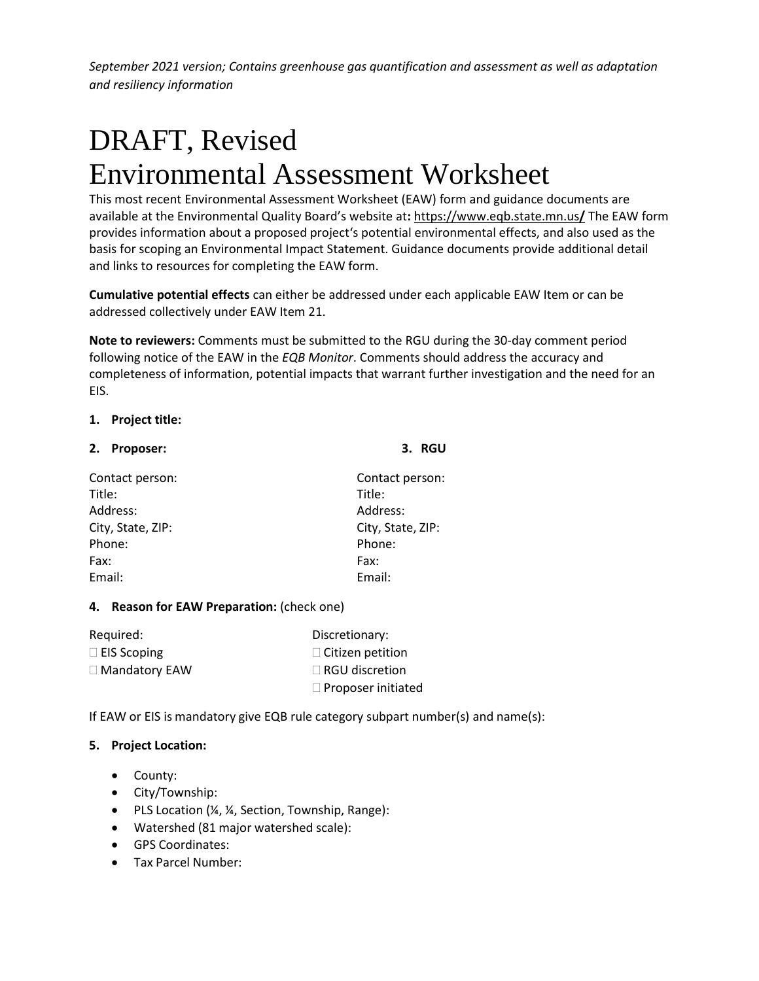# DRAFT, Revised Environmental Assessment Worksheet

This most recent Environmental Assessment Worksheet (EAW) form and guidance documents are available at the Environmental Quality Board's website at**:** [https://www.eqb.state.mn.us](https://www.eqb.state.mn.us/)**/** The EAW form provides information about a proposed project's potential environmental effects, and also used as the basis for scoping an Environmental Impact Statement. Guidance documents provide additional detail and links to resources for completing the EAW form.

**Cumulative potential effects** can either be addressed under each applicable EAW Item or can be addressed collectively under EAW Item 21.

**Note to reviewers:** Comments must be submitted to the RGU during the 30-day comment period following notice of the EAW in the *EQB Monitor*. Comments should address the accuracy and completeness of information, potential impacts that warrant further investigation and the need for an EIS.

## **1. Project title:**

| 2. Proposer:      | 3. RGU            |  |
|-------------------|-------------------|--|
| Contact person:   | Contact person:   |  |
| Title:            | Title:            |  |
| Address:          | Address:          |  |
| City, State, ZIP: | City, State, ZIP: |  |
| Phone:            | Phone:            |  |
| Fax:              | Fax:              |  |
| Email:            | Email:            |  |

# **4. Reason for EAW Preparation:** (check one)

| Required:            | Discretionary:            |
|----------------------|---------------------------|
| $\Box$ EIS Scoping   | $\Box$ Citizen petition   |
| $\Box$ Mandatory EAW | $\Box$ RGU discretion     |
|                      | $\Box$ Proposer initiated |

If EAW or EIS is mandatory give EQB rule category subpart number(s) and name(s):

# **5. Project Location:**

- County:
- City/Township:
- PLS Location (¼, ¼, Section, Township, Range):
- Watershed (81 major watershed scale):
- GPS Coordinates:
- Tax Parcel Number: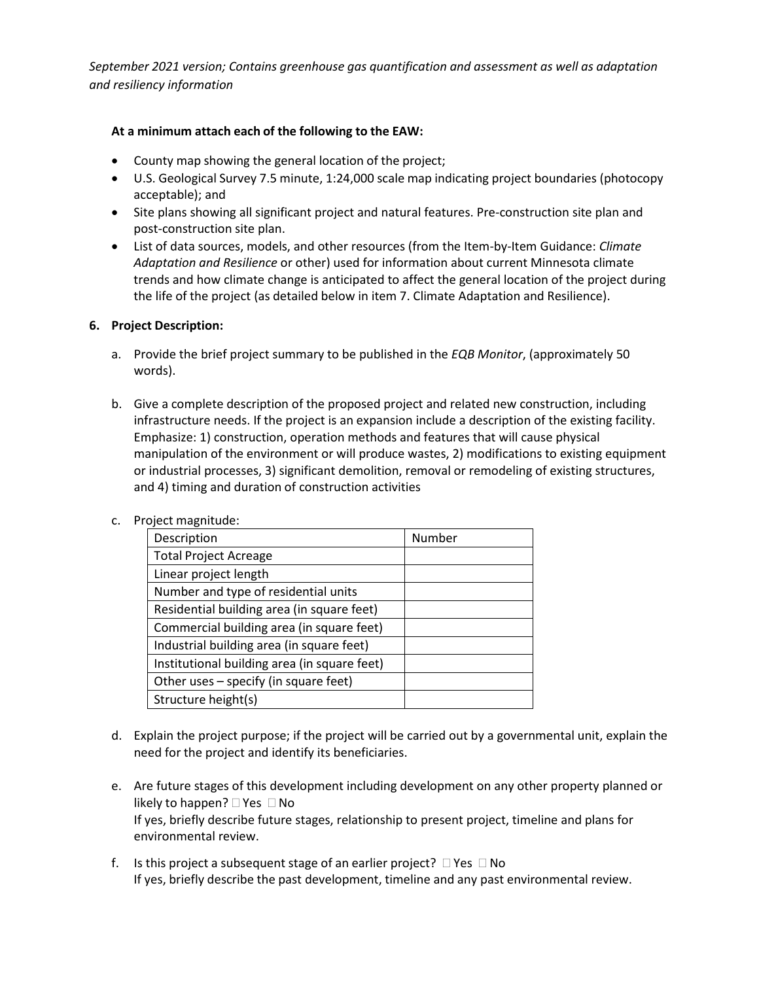#### **At a minimum attach each of the following to the EAW:**

- County map showing the general location of the project;
- U.S. Geological Survey 7.5 minute, 1:24,000 scale map indicating project boundaries (photocopy acceptable); and
- Site plans showing all significant project and natural features. Pre-construction site plan and post-construction site plan.
- List of data sources, models, and other resources (from the Item-by-Item Guidance: *Climate Adaptation and Resilience* or other) used for information about current Minnesota climate trends and how climate change is anticipated to affect the general location of the project during the life of the project (as detailed below in item 7. Climate Adaptation and Resilience).

## **6. Project Description:**

- a. Provide the brief project summary to be published in the *EQB Monitor*, (approximately 50 words).
- b. Give a complete description of the proposed project and related new construction, including infrastructure needs. If the project is an expansion include a description of the existing facility. Emphasize: 1) construction, operation methods and features that will cause physical manipulation of the environment or will produce wastes, 2) modifications to existing equipment or industrial processes, 3) significant demolition, removal or remodeling of existing structures, and 4) timing and duration of construction activities

| Description                                  | Number |
|----------------------------------------------|--------|
| <b>Total Project Acreage</b>                 |        |
| Linear project length                        |        |
| Number and type of residential units         |        |
| Residential building area (in square feet)   |        |
| Commercial building area (in square feet)    |        |
| Industrial building area (in square feet)    |        |
| Institutional building area (in square feet) |        |
| Other uses – specify (in square feet)        |        |
| Structure height(s)                          |        |

c. Project magnitude:

- d. Explain the project purpose; if the project will be carried out by a governmental unit, explain the need for the project and identify its beneficiaries.
- e. Are future stages of this development including development on any other property planned or likely to happen?  $\Box$  Yes  $\Box$  No If yes, briefly describe future stages, relationship to present project, timeline and plans for environmental review.
- f. Is this project a subsequent stage of an earlier project?  $\Box$  Yes  $\Box$  No If yes, briefly describe the past development, timeline and any past environmental review.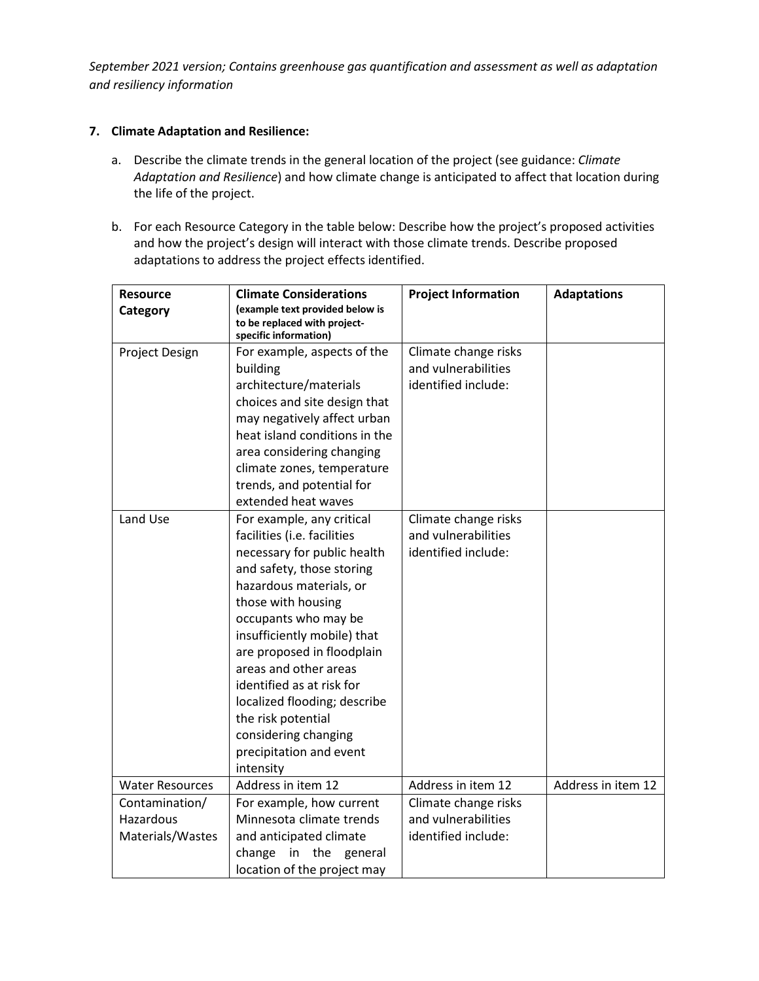#### **7. Climate Adaptation and Resilience:**

- a. Describe the climate trends in the general location of the project (see guidance: *Climate Adaptation and Resilience*) and how climate change is anticipated to affect that location during the life of the project.
- b. For each Resource Category in the table below: Describe how the project's proposed activities and how the project's design will interact with those climate trends. Describe proposed adaptations to address the project effects identified.

| <b>Resource</b>        | <b>Climate Considerations</b>                                                            | <b>Project Information</b>                  | <b>Adaptations</b> |
|------------------------|------------------------------------------------------------------------------------------|---------------------------------------------|--------------------|
| Category               | (example text provided below is<br>to be replaced with project-<br>specific information) |                                             |                    |
| Project Design         | For example, aspects of the                                                              | Climate change risks                        |                    |
|                        | building                                                                                 | and vulnerabilities                         |                    |
|                        | architecture/materials                                                                   | identified include:                         |                    |
|                        | choices and site design that                                                             |                                             |                    |
|                        | may negatively affect urban                                                              |                                             |                    |
|                        | heat island conditions in the                                                            |                                             |                    |
|                        | area considering changing                                                                |                                             |                    |
|                        | climate zones, temperature                                                               |                                             |                    |
|                        | trends, and potential for                                                                |                                             |                    |
|                        | extended heat waves                                                                      |                                             |                    |
| Land Use               | For example, any critical<br>facilities (i.e. facilities                                 | Climate change risks<br>and vulnerabilities |                    |
|                        | necessary for public health                                                              | identified include:                         |                    |
|                        | and safety, those storing                                                                |                                             |                    |
|                        | hazardous materials, or                                                                  |                                             |                    |
|                        | those with housing                                                                       |                                             |                    |
|                        | occupants who may be                                                                     |                                             |                    |
|                        | insufficiently mobile) that                                                              |                                             |                    |
|                        | are proposed in floodplain                                                               |                                             |                    |
|                        | areas and other areas                                                                    |                                             |                    |
|                        | identified as at risk for                                                                |                                             |                    |
|                        | localized flooding; describe                                                             |                                             |                    |
|                        | the risk potential                                                                       |                                             |                    |
|                        | considering changing                                                                     |                                             |                    |
|                        | precipitation and event                                                                  |                                             |                    |
|                        | intensity                                                                                |                                             |                    |
| <b>Water Resources</b> | Address in item 12                                                                       | Address in item 12                          | Address in item 12 |
| Contamination/         | For example, how current                                                                 | Climate change risks                        |                    |
| Hazardous              | Minnesota climate trends                                                                 | and vulnerabilities<br>identified include:  |                    |
| Materials/Wastes       | and anticipated climate<br>change<br>in<br>the<br>general                                |                                             |                    |
|                        | location of the project may                                                              |                                             |                    |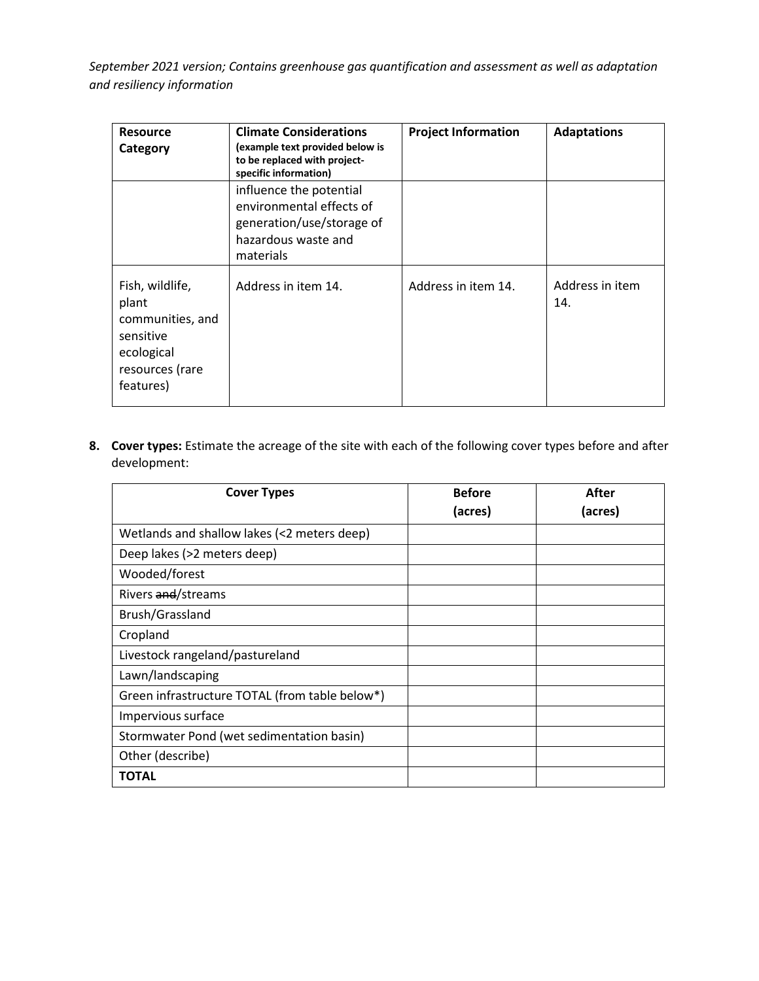| <b>Resource</b><br>Category                                                                             | <b>Climate Considerations</b><br>(example text provided below is<br>to be replaced with project-<br>specific information) | <b>Project Information</b> | <b>Adaptations</b>     |
|---------------------------------------------------------------------------------------------------------|---------------------------------------------------------------------------------------------------------------------------|----------------------------|------------------------|
|                                                                                                         | influence the potential<br>environmental effects of<br>generation/use/storage of<br>hazardous waste and<br>materials      |                            |                        |
| Fish, wildlife,<br>plant<br>communities, and<br>sensitive<br>ecological<br>resources (rare<br>features) | Address in item 14.                                                                                                       | Address in item 14.        | Address in item<br>14. |

**8. Cover types:** Estimate the acreage of the site with each of the following cover types before and after development:

| <b>Cover Types</b>                             | <b>Before</b> | After   |
|------------------------------------------------|---------------|---------|
|                                                | (acres)       | (acres) |
| Wetlands and shallow lakes (<2 meters deep)    |               |         |
| Deep lakes (>2 meters deep)                    |               |         |
| Wooded/forest                                  |               |         |
| Rivers and/streams                             |               |         |
| Brush/Grassland                                |               |         |
| Cropland                                       |               |         |
| Livestock rangeland/pastureland                |               |         |
| Lawn/landscaping                               |               |         |
| Green infrastructure TOTAL (from table below*) |               |         |
| Impervious surface                             |               |         |
| Stormwater Pond (wet sedimentation basin)      |               |         |
| Other (describe)                               |               |         |
| <b>TOTAL</b>                                   |               |         |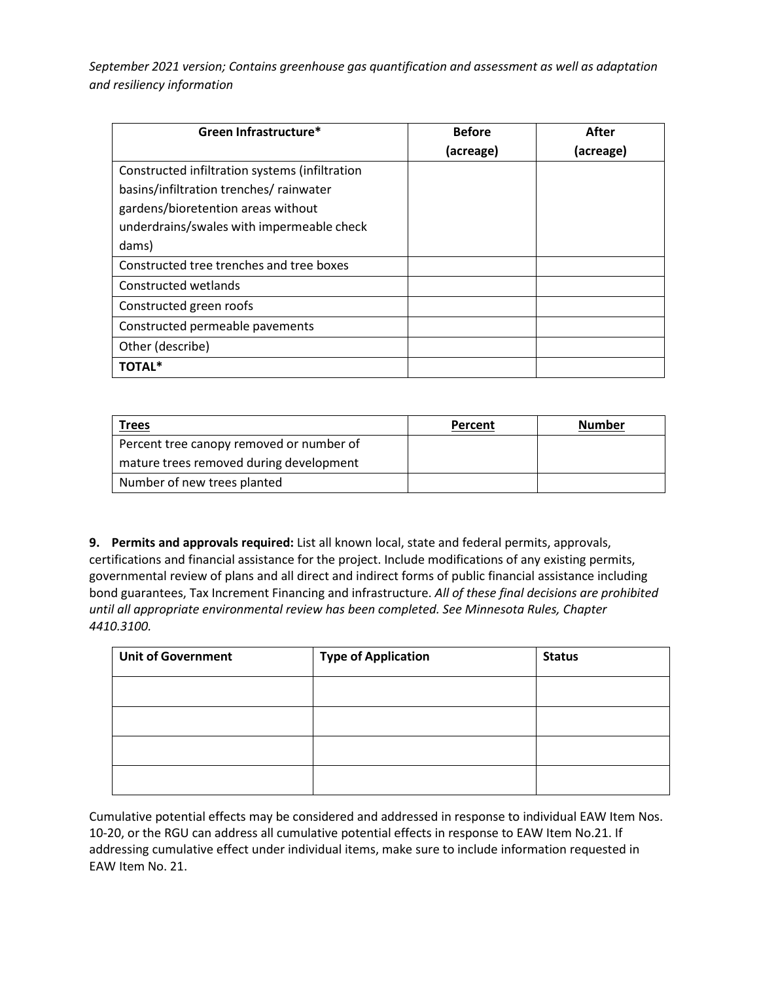| Green Infrastructure*                          | <b>Before</b> | After     |
|------------------------------------------------|---------------|-----------|
|                                                | (acreage)     | (acreage) |
| Constructed infiltration systems (infiltration |               |           |
| basins/infiltration trenches/ rainwater        |               |           |
| gardens/bioretention areas without             |               |           |
| underdrains/swales with impermeable check      |               |           |
| dams)                                          |               |           |
| Constructed tree trenches and tree boxes       |               |           |
| Constructed wetlands                           |               |           |
| Constructed green roofs                        |               |           |
| Constructed permeable pavements                |               |           |
| Other (describe)                               |               |           |
| <b>TOTAL*</b>                                  |               |           |

| <b>Trees</b>                             | Percent | <b>Number</b> |
|------------------------------------------|---------|---------------|
| Percent tree canopy removed or number of |         |               |
| mature trees removed during development  |         |               |
| Number of new trees planted              |         |               |

**9. Permits and approvals required:** List all known local, state and federal permits, approvals, certifications and financial assistance for the project. Include modifications of any existing permits, governmental review of plans and all direct and indirect forms of public financial assistance including bond guarantees, Tax Increment Financing and infrastructure. *All of these final decisions are prohibited until all appropriate environmental review has been completed. See Minnesota Rules, Chapter 4410.3100.*

| <b>Unit of Government</b> | <b>Type of Application</b> | <b>Status</b> |
|---------------------------|----------------------------|---------------|
|                           |                            |               |
|                           |                            |               |
|                           |                            |               |
|                           |                            |               |

Cumulative potential effects may be considered and addressed in response to individual EAW Item Nos. 10-20, or the RGU can address all cumulative potential effects in response to EAW Item No.21. If addressing cumulative effect under individual items, make sure to include information requested in EAW Item No. 21.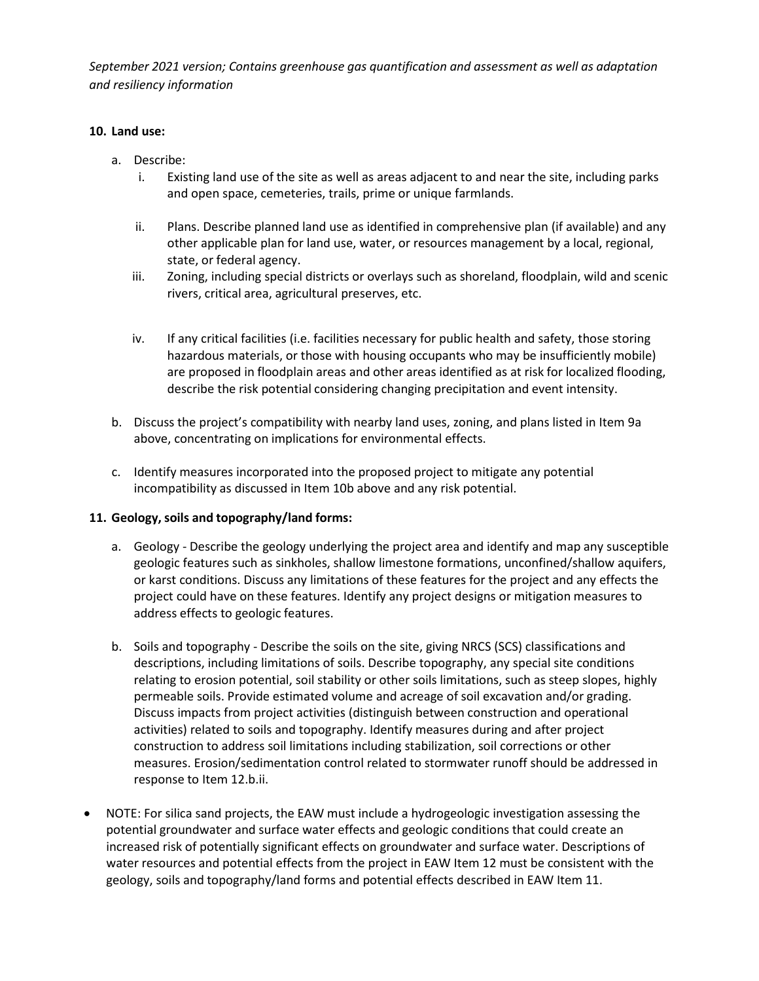## **10. Land use:**

- a. Describe:
	- i. Existing land use of the site as well as areas adjacent to and near the site, including parks and open space, cemeteries, trails, prime or unique farmlands.
	- ii. Plans. Describe planned land use as identified in comprehensive plan (if available) and any other applicable plan for land use, water, or resources management by a local, regional, state, or federal agency.
	- iii. Zoning, including special districts or overlays such as shoreland, floodplain, wild and scenic rivers, critical area, agricultural preserves, etc.
	- iv. If any critical facilities (i.e. facilities necessary for public health and safety, those storing hazardous materials, or those with housing occupants who may be insufficiently mobile) are proposed in floodplain areas and other areas identified as at risk for localized flooding, describe the risk potential considering changing precipitation and event intensity.
- b. Discuss the project's compatibility with nearby land uses, zoning, and plans listed in Item 9a above, concentrating on implications for environmental effects.
- c. Identify measures incorporated into the proposed project to mitigate any potential incompatibility as discussed in Item 10b above and any risk potential.

#### **11. Geology,soils and topography/land forms:**

- a. Geology Describe the geology underlying the project area and identify and map any susceptible geologic features such as sinkholes, shallow limestone formations, unconfined/shallow aquifers, or karst conditions. Discuss any limitations of these features for the project and any effects the project could have on these features. Identify any project designs or mitigation measures to address effects to geologic features.
- b. Soils and topography Describe the soils on the site, giving NRCS (SCS) classifications and descriptions, including limitations of soils. Describe topography, any special site conditions relating to erosion potential, soil stability or other soils limitations, such as steep slopes, highly permeable soils. Provide estimated volume and acreage of soil excavation and/or grading. Discuss impacts from project activities (distinguish between construction and operational activities) related to soils and topography. Identify measures during and after project construction to address soil limitations including stabilization, soil corrections or other measures. Erosion/sedimentation control related to stormwater runoff should be addressed in response to Item 12.b.ii.
- NOTE: For silica sand projects, the EAW must include a hydrogeologic investigation assessing the potential groundwater and surface water effects and geologic conditions that could create an increased risk of potentially significant effects on groundwater and surface water. Descriptions of water resources and potential effects from the project in EAW Item 12 must be consistent with the geology, soils and topography/land forms and potential effects described in EAW Item 11.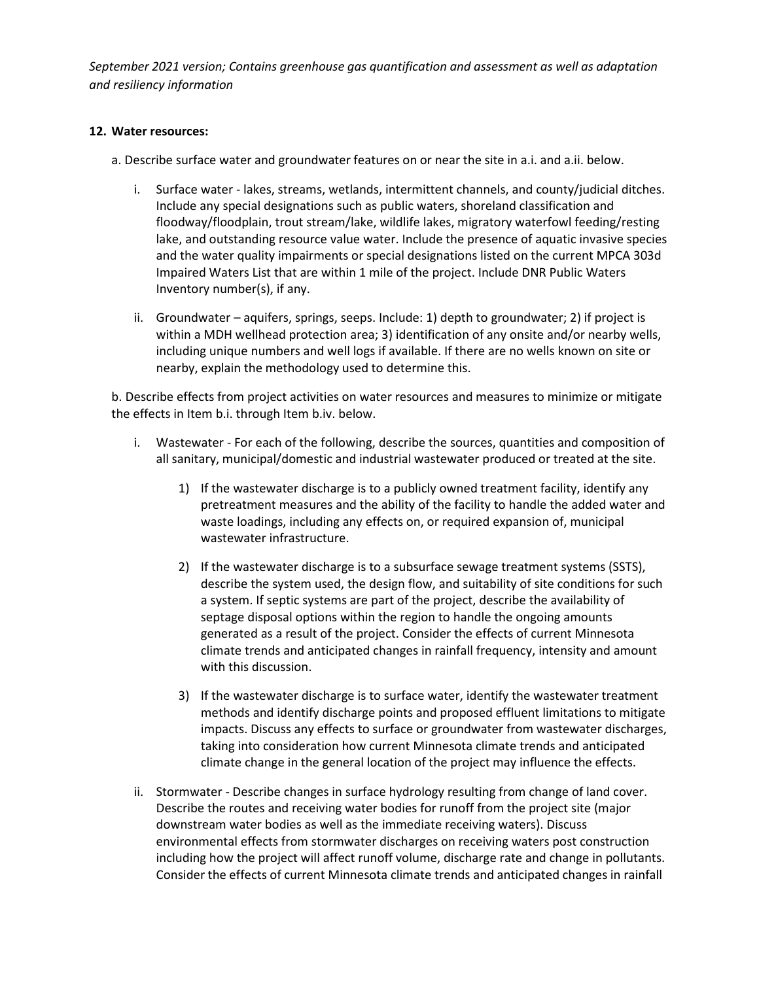#### **12. Water resources:**

a. Describe surface water and groundwater features on or near the site in a.i. and a.ii. below.

- i. Surface water lakes, streams, wetlands, intermittent channels, and county/judicial ditches. Include any special designations such as public waters, shoreland classification and floodway/floodplain, trout stream/lake, wildlife lakes, migratory waterfowl feeding/resting lake, and outstanding resource value water. Include the presence of aquatic invasive species and the water quality impairments or special designations listed on the current MPCA 303d Impaired Waters List that are within 1 mile of the project. Include DNR Public Waters Inventory number(s), if any.
- ii. Groundwater aquifers, springs, seeps. Include: 1) depth to groundwater; 2) if project is within a MDH wellhead protection area; 3) identification of any onsite and/or nearby wells, including unique numbers and well logs if available. If there are no wells known on site or nearby, explain the methodology used to determine this.

b. Describe effects from project activities on water resources and measures to minimize or mitigate the effects in Item b.i. through Item b.iv. below.

- i. Wastewater For each of the following, describe the sources, quantities and composition of all sanitary, municipal/domestic and industrial wastewater produced or treated at the site.
	- 1) If the wastewater discharge is to a publicly owned treatment facility, identify any pretreatment measures and the ability of the facility to handle the added water and waste loadings, including any effects on, or required expansion of, municipal wastewater infrastructure.
	- 2) If the wastewater discharge is to a subsurface sewage treatment systems (SSTS), describe the system used, the design flow, and suitability of site conditions for such a system. If septic systems are part of the project, describe the availability of septage disposal options within the region to handle the ongoing amounts generated as a result of the project. Consider the effects of current Minnesota climate trends and anticipated changes in rainfall frequency, intensity and amount with this discussion.
	- 3) If the wastewater discharge is to surface water, identify the wastewater treatment methods and identify discharge points and proposed effluent limitations to mitigate impacts. Discuss any effects to surface or groundwater from wastewater discharges, taking into consideration how current Minnesota climate trends and anticipated climate change in the general location of the project may influence the effects.
- ii. Stormwater Describe changes in surface hydrology resulting from change of land cover. Describe the routes and receiving water bodies for runoff from the project site (major downstream water bodies as well as the immediate receiving waters). Discuss environmental effects from stormwater discharges on receiving waters post construction including how the project will affect runoff volume, discharge rate and change in pollutants. Consider the effects of current Minnesota climate trends and anticipated changes in rainfall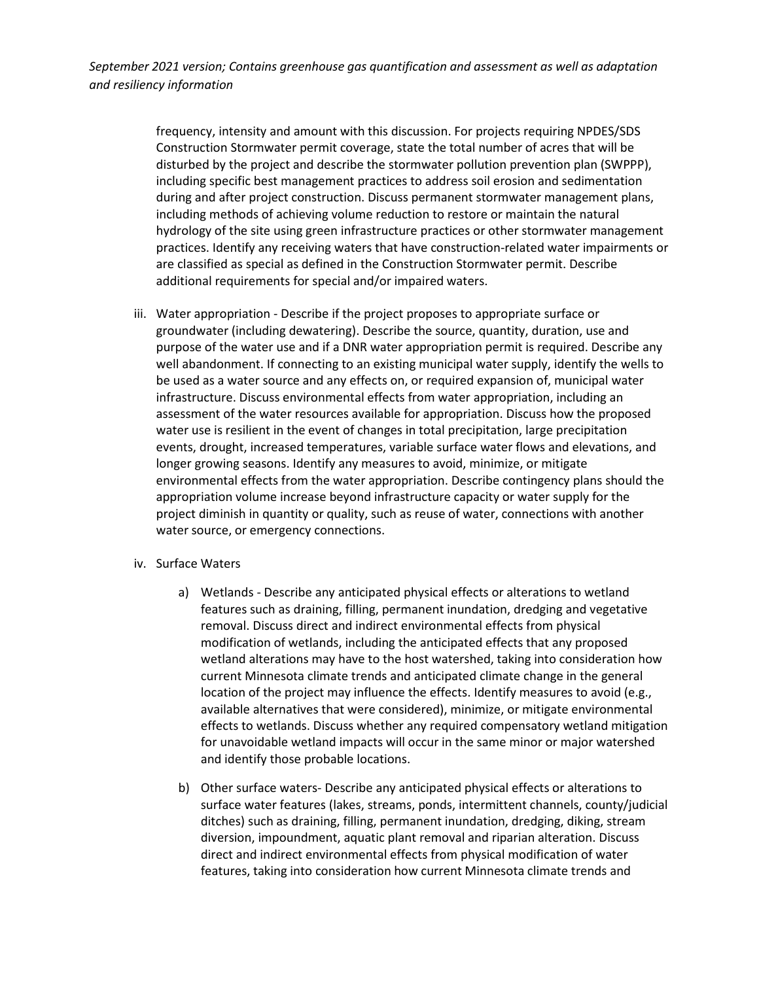> frequency, intensity and amount with this discussion. For projects requiring NPDES/SDS Construction Stormwater permit coverage, state the total number of acres that will be disturbed by the project and describe the stormwater pollution prevention plan (SWPPP), including specific best management practices to address soil erosion and sedimentation during and after project construction. Discuss permanent stormwater management plans, including methods of achieving volume reduction to restore or maintain the natural hydrology of the site using green infrastructure practices or other stormwater management practices. Identify any receiving waters that have construction-related water impairments or are classified as special as defined in the Construction Stormwater permit. Describe additional requirements for special and/or impaired waters.

- iii. Water appropriation Describe if the project proposes to appropriate surface or groundwater (including dewatering). Describe the source, quantity, duration, use and purpose of the water use and if a DNR water appropriation permit is required. Describe any well abandonment. If connecting to an existing municipal water supply, identify the wells to be used as a water source and any effects on, or required expansion of, municipal water infrastructure. Discuss environmental effects from water appropriation, including an assessment of the water resources available for appropriation. Discuss how the proposed water use is resilient in the event of changes in total precipitation, large precipitation events, drought, increased temperatures, variable surface water flows and elevations, and longer growing seasons. Identify any measures to avoid, minimize, or mitigate environmental effects from the water appropriation. Describe contingency plans should the appropriation volume increase beyond infrastructure capacity or water supply for the project diminish in quantity or quality, such as reuse of water, connections with another water source, or emergency connections.
- iv. Surface Waters
	- a) Wetlands Describe any anticipated physical effects or alterations to wetland features such as draining, filling, permanent inundation, dredging and vegetative removal. Discuss direct and indirect environmental effects from physical modification of wetlands, including the anticipated effects that any proposed wetland alterations may have to the host watershed, taking into consideration how current Minnesota climate trends and anticipated climate change in the general location of the project may influence the effects. Identify measures to avoid (e.g., available alternatives that were considered), minimize, or mitigate environmental effects to wetlands. Discuss whether any required compensatory wetland mitigation for unavoidable wetland impacts will occur in the same minor or major watershed and identify those probable locations.
	- b) Other surface waters- Describe any anticipated physical effects or alterations to surface water features (lakes, streams, ponds, intermittent channels, county/judicial ditches) such as draining, filling, permanent inundation, dredging, diking, stream diversion, impoundment, aquatic plant removal and riparian alteration. Discuss direct and indirect environmental effects from physical modification of water features, taking into consideration how current Minnesota climate trends and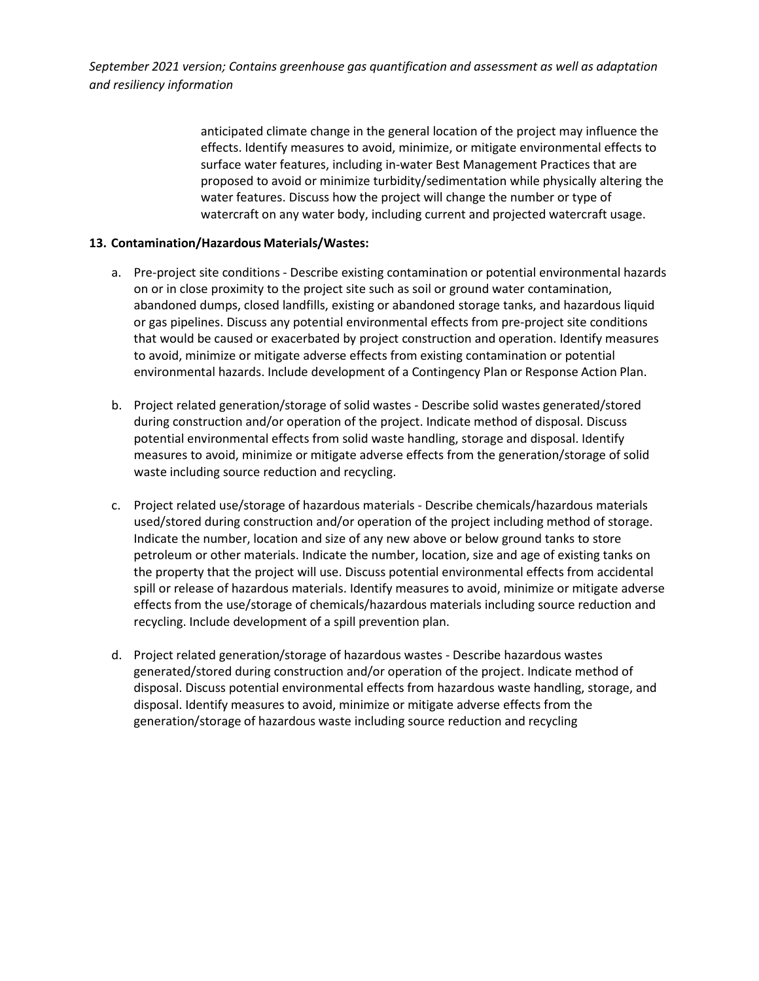> anticipated climate change in the general location of the project may influence the effects. Identify measures to avoid, minimize, or mitigate environmental effects to surface water features, including in-water Best Management Practices that are proposed to avoid or minimize turbidity/sedimentation while physically altering the water features. Discuss how the project will change the number or type of watercraft on any water body, including current and projected watercraft usage.

## **13. Contamination/Hazardous Materials/Wastes:**

- a. Pre-project site conditions Describe existing contamination or potential environmental hazards on or in close proximity to the project site such as soil or ground water contamination, abandoned dumps, closed landfills, existing or abandoned storage tanks, and hazardous liquid or gas pipelines. Discuss any potential environmental effects from pre-project site conditions that would be caused or exacerbated by project construction and operation. Identify measures to avoid, minimize or mitigate adverse effects from existing contamination or potential environmental hazards. Include development of a Contingency Plan or Response Action Plan.
- b. Project related generation/storage of solid wastes Describe solid wastes generated/stored during construction and/or operation of the project. Indicate method of disposal. Discuss potential environmental effects from solid waste handling, storage and disposal. Identify measures to avoid, minimize or mitigate adverse effects from the generation/storage of solid waste including source reduction and recycling.
- c. Project related use/storage of hazardous materials Describe chemicals/hazardous materials used/stored during construction and/or operation of the project including method of storage. Indicate the number, location and size of any new above or below ground tanks to store petroleum or other materials. Indicate the number, location, size and age of existing tanks on the property that the project will use. Discuss potential environmental effects from accidental spill or release of hazardous materials. Identify measures to avoid, minimize or mitigate adverse effects from the use/storage of chemicals/hazardous materials including source reduction and recycling. Include development of a spill prevention plan.
- d. Project related generation/storage of hazardous wastes Describe hazardous wastes generated/stored during construction and/or operation of the project. Indicate method of disposal. Discuss potential environmental effects from hazardous waste handling, storage, and disposal. Identify measures to avoid, minimize or mitigate adverse effects from the generation/storage of hazardous waste including source reduction and recycling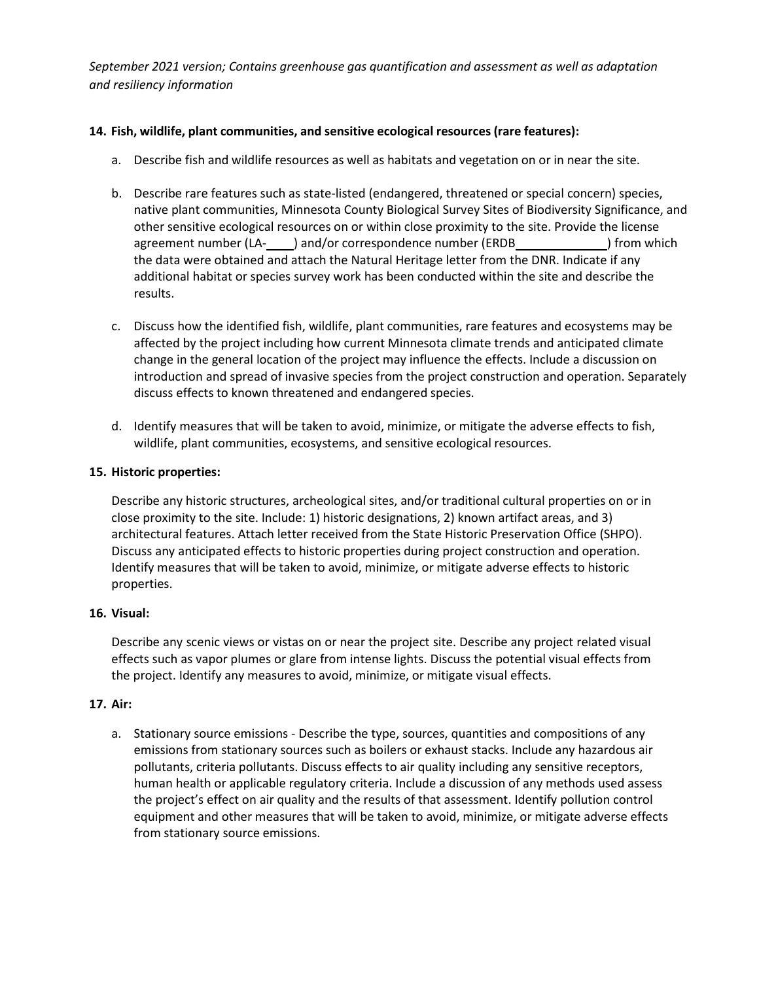## **14. Fish, wildlife, plant communities, and sensitive ecological resources(rare features):**

- a. Describe fish and wildlife resources as well as habitats and vegetation on or in near the site.
- b. Describe rare features such as state-listed (endangered, threatened or special concern) species, native plant communities, Minnesota County Biological Survey Sites of Biodiversity Significance, and other sensitive ecological resources on or within close proximity to the site. Provide the license agreement number (LAoutar and/or correspondence number (ERDB
(ERDB
) from which the data were obtained and attach the Natural Heritage letter from the DNR. Indicate if any additional habitat or species survey work has been conducted within the site and describe the results.
- c. Discuss how the identified fish, wildlife, plant communities, rare features and ecosystems may be affected by the project including how current Minnesota climate trends and anticipated climate change in the general location of the project may influence the effects. Include a discussion on introduction and spread of invasive species from the project construction and operation. Separately discuss effects to known threatened and endangered species.
- d. Identify measures that will be taken to avoid, minimize, or mitigate the adverse effects to fish, wildlife, plant communities, ecosystems, and sensitive ecological resources.

#### **15. Historic properties:**

Describe any historic structures, archeological sites, and/or traditional cultural properties on or in close proximity to the site. Include: 1) historic designations, 2) known artifact areas, and 3) architectural features. Attach letter received from the State Historic Preservation Office (SHPO). Discuss any anticipated effects to historic properties during project construction and operation. Identify measures that will be taken to avoid, minimize, or mitigate adverse effects to historic properties.

#### **16. Visual:**

Describe any scenic views or vistas on or near the project site. Describe any project related visual effects such as vapor plumes or glare from intense lights. Discuss the potential visual effects from the project. Identify any measures to avoid, minimize, or mitigate visual effects.

#### **17. Air:**

a. Stationary source emissions - Describe the type, sources, quantities and compositions of any emissions from stationary sources such as boilers or exhaust stacks. Include any hazardous air pollutants, criteria pollutants. Discuss effects to air quality including any sensitive receptors, human health or applicable regulatory criteria. Include a discussion of any methods used assess the project's effect on air quality and the results of that assessment. Identify pollution control equipment and other measures that will be taken to avoid, minimize, or mitigate adverse effects from stationary source emissions.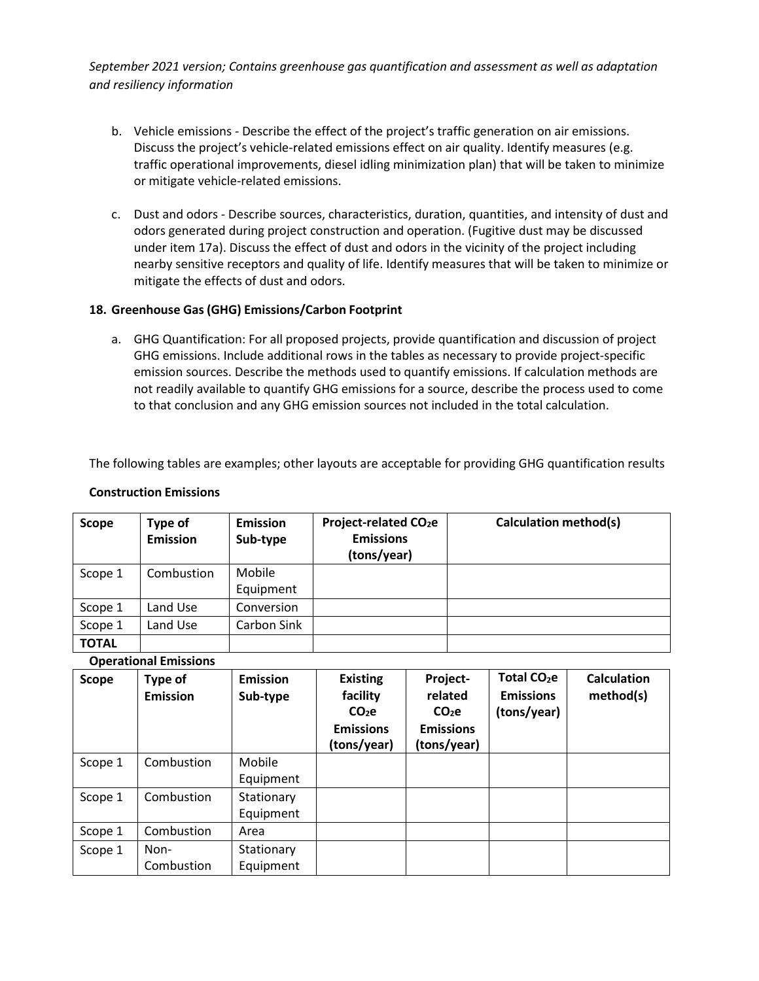- b. Vehicle emissions Describe the effect of the project's traffic generation on air emissions. Discuss the project's vehicle-related emissions effect on air quality. Identify measures (e.g. traffic operational improvements, diesel idling minimization plan) that will be taken to minimize or mitigate vehicle-related emissions.
- c. Dust and odors Describe sources, characteristics, duration, quantities, and intensity of dust and odors generated during project construction and operation. (Fugitive dust may be discussed under item 17a). Discuss the effect of dust and odors in the vicinity of the project including nearby sensitive receptors and quality of life. Identify measures that will be taken to minimize or mitigate the effects of dust and odors.

## **18. Greenhouse Gas (GHG) Emissions/Carbon Footprint**

a. GHG Quantification: For all proposed projects, provide quantification and discussion of project GHG emissions. Include additional rows in the tables as necessary to provide project-specific emission sources. Describe the methods used to quantify emissions. If calculation methods are not readily available to quantify GHG emissions for a source, describe the process used to come to that conclusion and any GHG emission sources not included in the total calculation.

The following tables are examples; other layouts are acceptable for providing GHG quantification results

#### **Construction Emissions**

| Scope        | Type of<br><b>Emission</b> | <b>Emission</b><br>Sub-type | Project-related CO <sub>2</sub> e<br><b>Emissions</b><br>(tons/year) | <b>Calculation method(s)</b> |
|--------------|----------------------------|-----------------------------|----------------------------------------------------------------------|------------------------------|
| Scope 1      | Combustion                 | Mobile<br>Equipment         |                                                                      |                              |
| Scope 1      | Land Use                   | Conversion                  |                                                                      |                              |
| Scope 1      | Land Use                   | Carbon Sink                 |                                                                      |                              |
| <b>TOTAL</b> |                            |                             |                                                                      |                              |

#### **Operational Emissions**

| <b>Scope</b> | Type of<br><b>Emission</b> | <b>Emission</b><br>Sub-type | <b>Existing</b><br>facility<br>CO <sub>2</sub> e<br><b>Emissions</b><br>(tons/year) | Project-<br>related<br>CO <sub>2</sub> e<br><b>Emissions</b><br>(tons/year) | Total CO <sub>2</sub> e<br><b>Emissions</b><br>(tons/year) | <b>Calculation</b><br>method(s) |
|--------------|----------------------------|-----------------------------|-------------------------------------------------------------------------------------|-----------------------------------------------------------------------------|------------------------------------------------------------|---------------------------------|
| Scope 1      | Combustion                 | Mobile<br>Equipment         |                                                                                     |                                                                             |                                                            |                                 |
| Scope 1      | Combustion                 | Stationary<br>Equipment     |                                                                                     |                                                                             |                                                            |                                 |
| Scope 1      | Combustion                 | Area                        |                                                                                     |                                                                             |                                                            |                                 |
| Scope 1      | Non-<br>Combustion         | Stationary<br>Equipment     |                                                                                     |                                                                             |                                                            |                                 |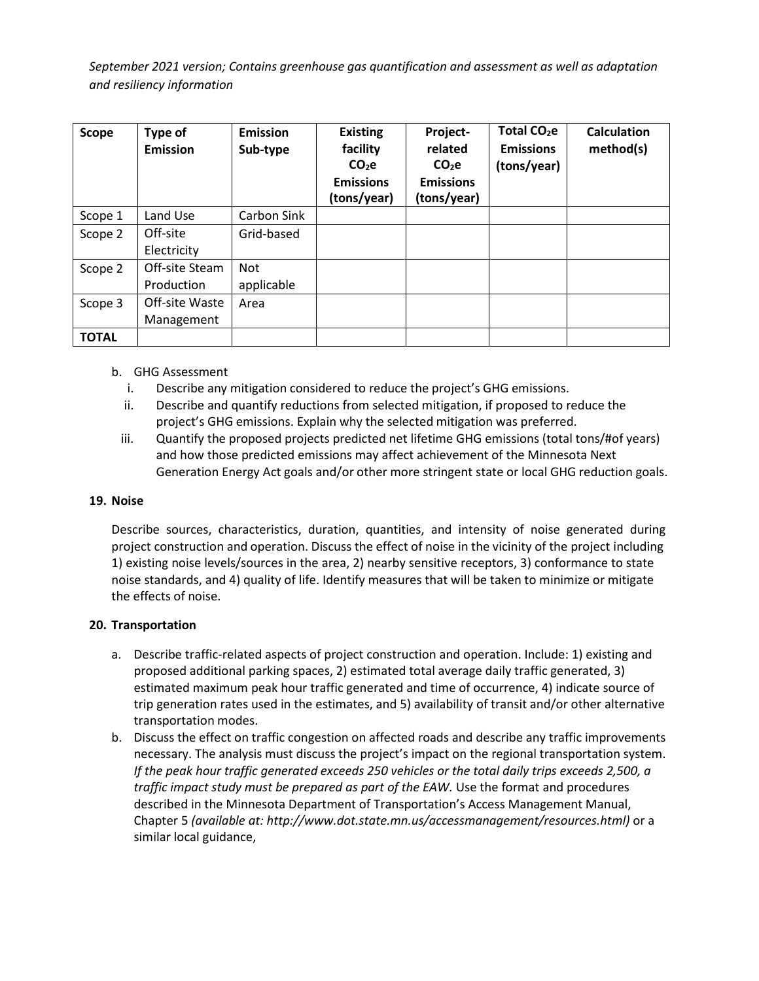| <b>Scope</b> | Type of<br><b>Emission</b>   | <b>Emission</b><br>Sub-type | <b>Existing</b><br>facility<br>$CO2$ e<br><b>Emissions</b><br>(tons/year) | Project-<br>related<br>$CO2$ e<br><b>Emissions</b><br>(tons/year) | Total CO <sub>2</sub> e<br><b>Emissions</b><br>(tons/year) | <b>Calculation</b><br>method(s) |
|--------------|------------------------------|-----------------------------|---------------------------------------------------------------------------|-------------------------------------------------------------------|------------------------------------------------------------|---------------------------------|
| Scope 1      | Land Use                     | Carbon Sink                 |                                                                           |                                                                   |                                                            |                                 |
| Scope 2      | Off-site<br>Electricity      | Grid-based                  |                                                                           |                                                                   |                                                            |                                 |
| Scope 2      | Off-site Steam<br>Production | Not<br>applicable           |                                                                           |                                                                   |                                                            |                                 |
| Scope 3      | Off-site Waste<br>Management | Area                        |                                                                           |                                                                   |                                                            |                                 |
| <b>TOTAL</b> |                              |                             |                                                                           |                                                                   |                                                            |                                 |

# b. GHG Assessment

- i. Describe any mitigation considered to reduce the project's GHG emissions.
- ii. Describe and quantify reductions from selected mitigation, if proposed to reduce the project's GHG emissions. Explain why the selected mitigation was preferred.
- iii. Quantify the proposed projects predicted net lifetime GHG emissions (total tons/#of years) and how those predicted emissions may affect achievement of the Minnesota Next Generation Energy Act goals and/or other more stringent state or local GHG reduction goals.

#### **19. Noise**

Describe sources, characteristics, duration, quantities, and intensity of noise generated during project construction and operation. Discuss the effect of noise in the vicinity of the project including 1) existing noise levels/sources in the area, 2) nearby sensitive receptors, 3) conformance to state noise standards, and 4) quality of life. Identify measures that will be taken to minimize or mitigate the effects of noise.

#### **20. Transportation**

- a. Describe traffic-related aspects of project construction and operation. Include: 1) existing and proposed additional parking spaces, 2) estimated total average daily traffic generated, 3) estimated maximum peak hour traffic generated and time of occurrence, 4) indicate source of trip generation rates used in the estimates, and 5) availability of transit and/or other alternative transportation modes.
- b. Discuss the effect on traffic congestion on affected roads and describe any traffic improvements necessary. The analysis must discuss the project's impact on the regional transportation system. *If the peak hour traffic generated exceeds 250 vehicles or the total daily trips exceeds 2,500, a traffic impact study must be prepared as part of the EAW.* Use the format and procedures described in the Minnesota Department of Transportation's Access Management Manual, Chapter 5 *(available at: [http://www.dot.state.mn.us/accessmanagement/resources.html\)](http://www.dot.state.mn.us/accessmanagement/resources.html))* or a similar local guidance,